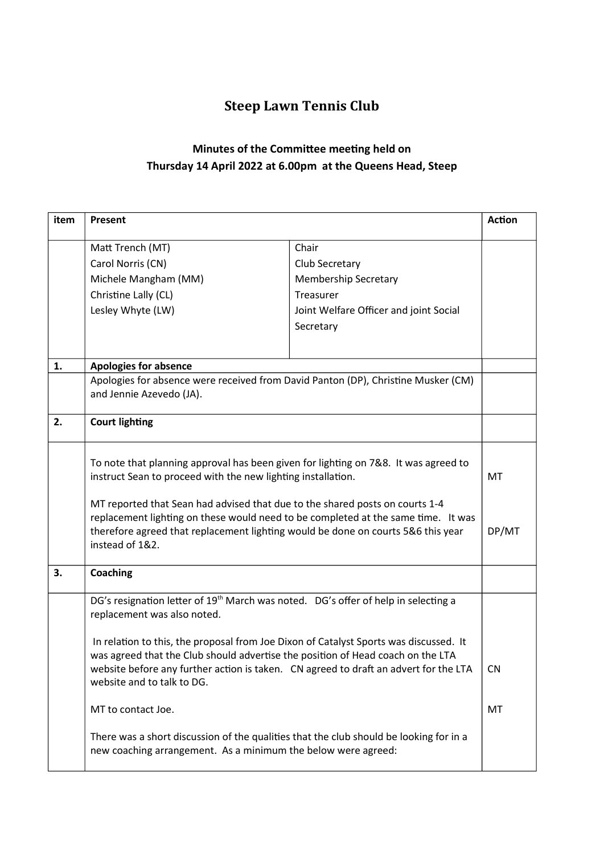## Steep Lawn Tennis Club

## Minutes of the Committee meeting held on Thursday 14 April 2022 at 6.00pm at the Queens Head, Steep

| item | Present                                                                                                                                                                                                                                                                                                                                                                                                                                                                                                                                                                                                          |                                                                                                                            | <b>Action</b>    |
|------|------------------------------------------------------------------------------------------------------------------------------------------------------------------------------------------------------------------------------------------------------------------------------------------------------------------------------------------------------------------------------------------------------------------------------------------------------------------------------------------------------------------------------------------------------------------------------------------------------------------|----------------------------------------------------------------------------------------------------------------------------|------------------|
|      | Matt Trench (MT)<br>Carol Norris (CN)<br>Michele Mangham (MM)<br>Christine Lally (CL)<br>Lesley Whyte (LW)                                                                                                                                                                                                                                                                                                                                                                                                                                                                                                       | Chair<br>Club Secretary<br><b>Membership Secretary</b><br>Treasurer<br>Joint Welfare Officer and joint Social<br>Secretary |                  |
| 1.   | <b>Apologies for absence</b>                                                                                                                                                                                                                                                                                                                                                                                                                                                                                                                                                                                     |                                                                                                                            |                  |
|      | Apologies for absence were received from David Panton (DP), Christine Musker (CM)<br>and Jennie Azevedo (JA).                                                                                                                                                                                                                                                                                                                                                                                                                                                                                                    |                                                                                                                            |                  |
| 2.   | <b>Court lighting</b>                                                                                                                                                                                                                                                                                                                                                                                                                                                                                                                                                                                            |                                                                                                                            |                  |
|      | To note that planning approval has been given for lighting on 7&8. It was agreed to<br>instruct Sean to proceed with the new lighting installation.<br>MT reported that Sean had advised that due to the shared posts on courts 1-4<br>replacement lighting on these would need to be completed at the same time. It was<br>therefore agreed that replacement lighting would be done on courts 5&6 this year<br>instead of 1&2.                                                                                                                                                                                  |                                                                                                                            |                  |
| 3.   | <b>Coaching</b>                                                                                                                                                                                                                                                                                                                                                                                                                                                                                                                                                                                                  |                                                                                                                            |                  |
|      | DG's resignation letter of 19 <sup>th</sup> March was noted. DG's offer of help in selecting a<br>replacement was also noted.<br>In relation to this, the proposal from Joe Dixon of Catalyst Sports was discussed. It<br>was agreed that the Club should advertise the position of Head coach on the LTA<br>website before any further action is taken. CN agreed to draft an advert for the LTA<br>website and to talk to DG.<br>MT to contact Joe.<br>There was a short discussion of the qualities that the club should be looking for in a<br>new coaching arrangement. As a minimum the below were agreed: |                                                                                                                            | CN.<br><b>MT</b> |